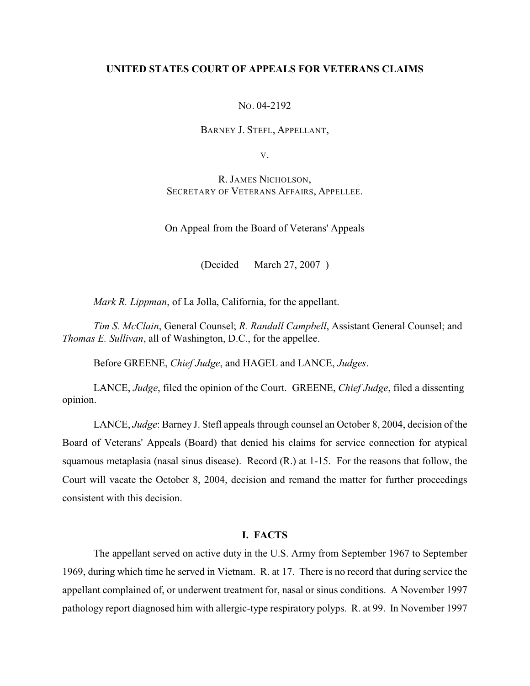## **UNITED STATES COURT OF APPEALS FOR VETERANS CLAIMS**

NO. 04-2192

BARNEY J. STEFL, APPELLANT,

V.

R. JAMES NICHOLSON, SECRETARY OF VETERANS AFFAIRS, APPELLEE.

On Appeal from the Board of Veterans' Appeals

(Decided March 27, 2007 )

*Mark R. Lippman*, of La Jolla, California, for the appellant.

*Tim S. McClain*, General Counsel; *R. Randall Campbell*, Assistant General Counsel; and *Thomas E. Sullivan*, all of Washington, D.C., for the appellee.

Before GREENE, *Chief Judge*, and HAGEL and LANCE, *Judges*.

LANCE, *Judge*, filed the opinion of the Court. GREENE, *Chief Judge*, filed a dissenting opinion.

LANCE, *Judge*: Barney J. Stefl appeals through counsel an October 8, 2004, decision of the Board of Veterans' Appeals (Board) that denied his claims for service connection for atypical squamous metaplasia (nasal sinus disease). Record (R.) at 1-15. For the reasons that follow, the Court will vacate the October 8, 2004, decision and remand the matter for further proceedings consistent with this decision.

## **I. FACTS**

The appellant served on active duty in the U.S. Army from September 1967 to September 1969, during which time he served in Vietnam. R. at 17. There is no record that during service the appellant complained of, or underwent treatment for, nasal or sinus conditions. A November 1997 pathology report diagnosed him with allergic-type respiratory polyps. R. at 99. In November 1997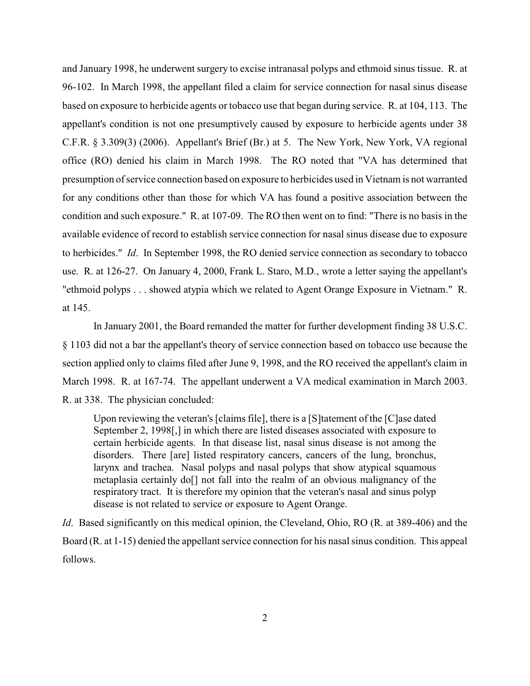and January 1998, he underwent surgery to excise intranasal polyps and ethmoid sinus tissue. R. at 96-102. In March 1998, the appellant filed a claim for service connection for nasal sinus disease based on exposure to herbicide agents or tobacco use that began during service. R. at 104, 113. The appellant's condition is not one presumptively caused by exposure to herbicide agents under 38 C.F.R. § 3.309(3) (2006). Appellant's Brief (Br.) at 5. The New York, New York, VA regional office (RO) denied his claim in March 1998. The RO noted that "VA has determined that presumption of service connection based on exposure to herbicides used in Vietnam is not warranted for any conditions other than those for which VA has found a positive association between the condition and such exposure." R. at 107-09. The RO then went on to find: "There is no basis in the available evidence of record to establish service connection for nasal sinus disease due to exposure to herbicides." *Id*. In September 1998, the RO denied service connection as secondary to tobacco use. R. at 126-27. On January 4, 2000, Frank L. Staro, M.D., wrote a letter saying the appellant's "ethmoid polyps . . . showed atypia which we related to Agent Orange Exposure in Vietnam." R. at 145.

In January 2001, the Board remanded the matter for further development finding 38 U.S.C. § 1103 did not a bar the appellant's theory of service connection based on tobacco use because the section applied only to claims filed after June 9, 1998, and the RO received the appellant's claim in March 1998. R. at 167-74. The appellant underwent a VA medical examination in March 2003. R. at 338. The physician concluded:

Upon reviewing the veteran's [claims file], there is a [S]tatement of the [C]ase dated September 2, 1998[,] in which there are listed diseases associated with exposure to certain herbicide agents. In that disease list, nasal sinus disease is not among the disorders. There [are] listed respiratory cancers, cancers of the lung, bronchus, larynx and trachea. Nasal polyps and nasal polyps that show atypical squamous metaplasia certainly do[] not fall into the realm of an obvious malignancy of the respiratory tract. It is therefore my opinion that the veteran's nasal and sinus polyp disease is not related to service or exposure to Agent Orange.

*Id.* Based significantly on this medical opinion, the Cleveland, Ohio, RO (R. at 389-406) and the Board (R. at 1-15) denied the appellant service connection for his nasal sinus condition. This appeal follows.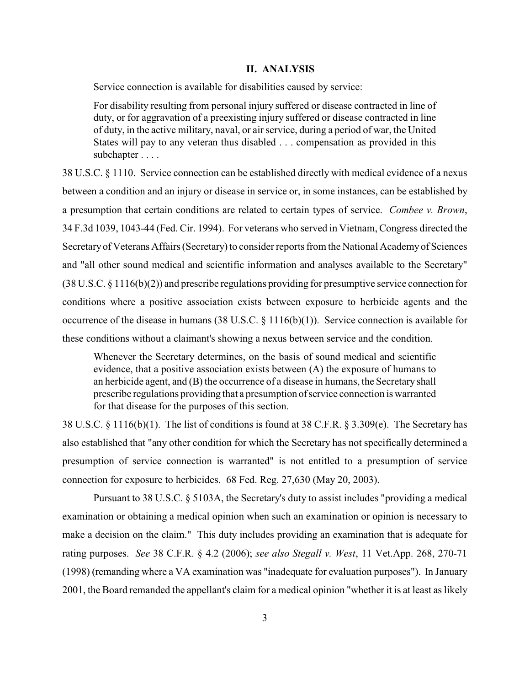## **II. ANALYSIS**

Service connection is available for disabilities caused by service:

For disability resulting from personal injury suffered or disease contracted in line of duty, or for aggravation of a preexisting injury suffered or disease contracted in line of duty, in the active military, naval, or air service, during a period of war, the United States will pay to any veteran thus disabled . . . compensation as provided in this subchapter . . . .

38 U.S.C. § 1110. Service connection can be established directly with medical evidence of a nexus between a condition and an injury or disease in service or, in some instances, can be established by a presumption that certain conditions are related to certain types of service. *Combee v. Brown*, 34 F.3d 1039, 1043-44 (Fed. Cir. 1994). For veterans who served in Vietnam, Congress directed the Secretary of Veterans Affairs (Secretary) to consider reports from the National Academy of Sciences and "all other sound medical and scientific information and analyses available to the Secretary" (38 U.S.C. § 1116(b)(2)) and prescribe regulations providing for presumptive service connection for conditions where a positive association exists between exposure to herbicide agents and the occurrence of the disease in humans (38 U.S.C. § 1116(b)(1)). Service connection is available for these conditions without a claimant's showing a nexus between service and the condition.

Whenever the Secretary determines, on the basis of sound medical and scientific evidence, that a positive association exists between (A) the exposure of humans to an herbicide agent, and (B) the occurrence of a disease in humans, the Secretary shall prescribe regulations providing that a presumption of service connection is warranted for that disease for the purposes of this section.

38 U.S.C. § 1116(b)(1). The list of conditions is found at 38 C.F.R. § 3.309(e). The Secretary has also established that "any other condition for which the Secretary has not specifically determined a presumption of service connection is warranted" is not entitled to a presumption of service connection for exposure to herbicides. 68 Fed. Reg. 27,630 (May 20, 2003).

Pursuant to 38 U.S.C. § 5103A, the Secretary's duty to assist includes "providing a medical examination or obtaining a medical opinion when such an examination or opinion is necessary to make a decision on the claim." This duty includes providing an examination that is adequate for rating purposes. *See* 38 C.F.R. § 4.2 (2006); *see also Stegall v. West*, 11 Vet.App. 268, 270-71 (1998) (remanding where a VA examination was "inadequate for evaluation purposes"). In January 2001, the Board remanded the appellant's claim for a medical opinion "whether it is at least as likely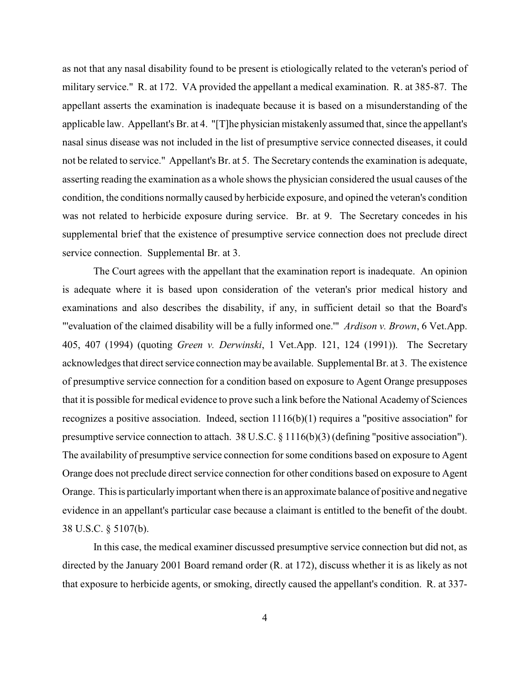as not that any nasal disability found to be present is etiologically related to the veteran's period of military service." R. at 172. VA provided the appellant a medical examination. R. at 385-87. The appellant asserts the examination is inadequate because it is based on a misunderstanding of the applicable law. Appellant's Br. at 4. "[T]he physician mistakenly assumed that, since the appellant's nasal sinus disease was not included in the list of presumptive service connected diseases, it could not be related to service." Appellant's Br. at 5. The Secretary contends the examination is adequate, asserting reading the examination as a whole shows the physician considered the usual causes of the condition, the conditions normally caused by herbicide exposure, and opined the veteran's condition was not related to herbicide exposure during service. Br. at 9. The Secretary concedes in his supplemental brief that the existence of presumptive service connection does not preclude direct service connection. Supplemental Br. at 3.

The Court agrees with the appellant that the examination report is inadequate. An opinion is adequate where it is based upon consideration of the veteran's prior medical history and examinations and also describes the disability, if any, in sufficient detail so that the Board's "'evaluation of the claimed disability will be a fully informed one.'" *Ardison v. Brown*, 6 Vet.App. 405, 407 (1994) (quoting *Green v. Derwinski*, 1 Vet.App. 121, 124 (1991)). The Secretary acknowledges that direct service connection maybe available. Supplemental Br. at 3. The existence of presumptive service connection for a condition based on exposure to Agent Orange presupposes that it is possible for medical evidence to prove such a link before the National Academy of Sciences recognizes a positive association. Indeed, section  $1116(b)(1)$  requires a "positive association" for presumptive service connection to attach. 38 U.S.C. § 1116(b)(3) (defining "positive association"). The availability of presumptive service connection for some conditions based on exposure to Agent Orange does not preclude direct service connection for other conditions based on exposure to Agent Orange. This is particularly important when there is an approximate balance of positive and negative evidence in an appellant's particular case because a claimant is entitled to the benefit of the doubt. 38 U.S.C. § 5107(b).

In this case, the medical examiner discussed presumptive service connection but did not, as directed by the January 2001 Board remand order (R. at 172), discuss whether it is as likely as not that exposure to herbicide agents, or smoking, directly caused the appellant's condition. R. at 337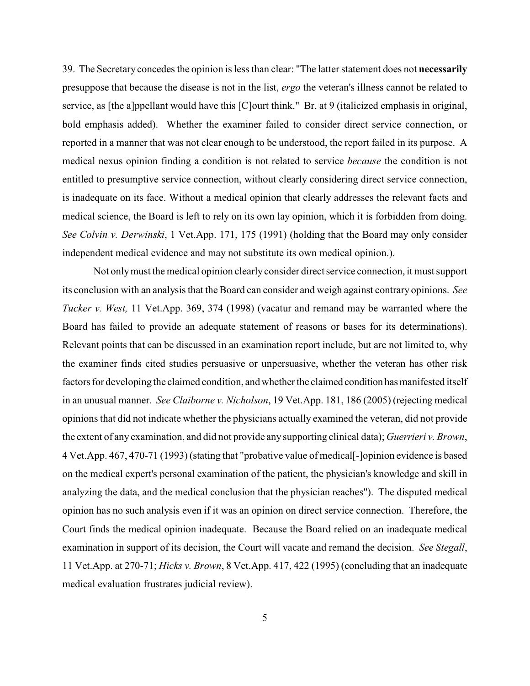39. The Secretary concedes the opinion is less than clear: "The latter statement does not **necessarily** presuppose that because the disease is not in the list, *ergo* the veteran's illness cannot be related to service, as [the a]ppellant would have this [C]ourt think." Br. at 9 (italicized emphasis in original, bold emphasis added). Whether the examiner failed to consider direct service connection, or reported in a manner that was not clear enough to be understood, the report failed in its purpose. A medical nexus opinion finding a condition is not related to service *because* the condition is not entitled to presumptive service connection, without clearly considering direct service connection, is inadequate on its face. Without a medical opinion that clearly addresses the relevant facts and medical science, the Board is left to rely on its own lay opinion, which it is forbidden from doing. *See Colvin v. Derwinski*, 1 Vet.App. 171, 175 (1991) (holding that the Board may only consider independent medical evidence and may not substitute its own medical opinion.).

Not only must the medical opinion clearly consider direct service connection, it must support its conclusion with an analysis that the Board can consider and weigh against contrary opinions. *See Tucker v. West,* 11 Vet.App. 369, 374 (1998) (vacatur and remand may be warranted where the Board has failed to provide an adequate statement of reasons or bases for its determinations). Relevant points that can be discussed in an examination report include, but are not limited to, why the examiner finds cited studies persuasive or unpersuasive, whether the veteran has other risk factors for developing the claimed condition, and whether the claimed condition has manifested itself in an unusual manner. *See Claiborne v. Nicholson*, 19 Vet.App. 181, 186 (2005) (rejecting medical opinions that did not indicate whether the physicians actually examined the veteran, did not provide the extent of any examination, and did not provide any supporting clinical data); *Guerrieri v. Brown*, 4 Vet.App. 467, 470-71 (1993) (stating that "probative value of medical[-]opinion evidence is based on the medical expert's personal examination of the patient, the physician's knowledge and skill in analyzing the data, and the medical conclusion that the physician reaches"). The disputed medical opinion has no such analysis even if it was an opinion on direct service connection. Therefore, the Court finds the medical opinion inadequate. Because the Board relied on an inadequate medical examination in support of its decision, the Court will vacate and remand the decision. *See Stegall*, 11 Vet.App. at 270-71; *Hicks v. Brown*, 8 Vet.App. 417, 422 (1995) (concluding that an inadequate medical evaluation frustrates judicial review).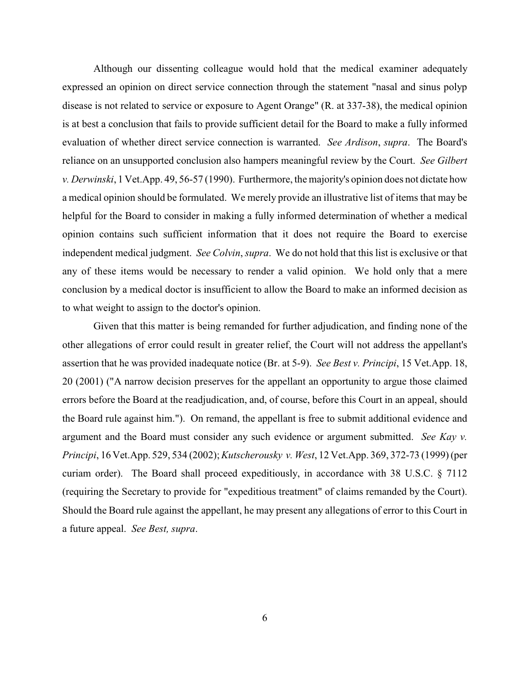Although our dissenting colleague would hold that the medical examiner adequately expressed an opinion on direct service connection through the statement "nasal and sinus polyp disease is not related to service or exposure to Agent Orange" (R. at 337-38), the medical opinion is at best a conclusion that fails to provide sufficient detail for the Board to make a fully informed evaluation of whether direct service connection is warranted. *See Ardison*, *supra*. The Board's reliance on an unsupported conclusion also hampers meaningful review by the Court. *See Gilbert v. Derwinski*, 1 Vet.App. 49, 56-57 (1990). Furthermore, the majority's opinion does not dictate how a medical opinion should be formulated. We merely provide an illustrative list of items that may be helpful for the Board to consider in making a fully informed determination of whether a medical opinion contains such sufficient information that it does not require the Board to exercise independent medical judgment. *See Colvin*, *supra*. We do not hold that this list is exclusive or that any of these items would be necessary to render a valid opinion. We hold only that a mere conclusion by a medical doctor is insufficient to allow the Board to make an informed decision as to what weight to assign to the doctor's opinion.

Given that this matter is being remanded for further adjudication, and finding none of the other allegations of error could result in greater relief, the Court will not address the appellant's assertion that he was provided inadequate notice (Br. at 5-9). *See Best v. Principi*, 15 Vet.App. 18, 20 (2001) ("A narrow decision preserves for the appellant an opportunity to argue those claimed errors before the Board at the readjudication, and, of course, before this Court in an appeal, should the Board rule against him."). On remand, the appellant is free to submit additional evidence and argument and the Board must consider any such evidence or argument submitted. *See Kay v. Principi*, 16 Vet.App. 529, 534 (2002);*Kutscherousky v. West*, 12 Vet.App. 369, 372-73 (1999) (per curiam order). The Board shall proceed expeditiously, in accordance with 38 U.S.C. § 7112 (requiring the Secretary to provide for "expeditious treatment" of claims remanded by the Court). Should the Board rule against the appellant, he may present any allegations of error to this Court in a future appeal. *See Best, supra*.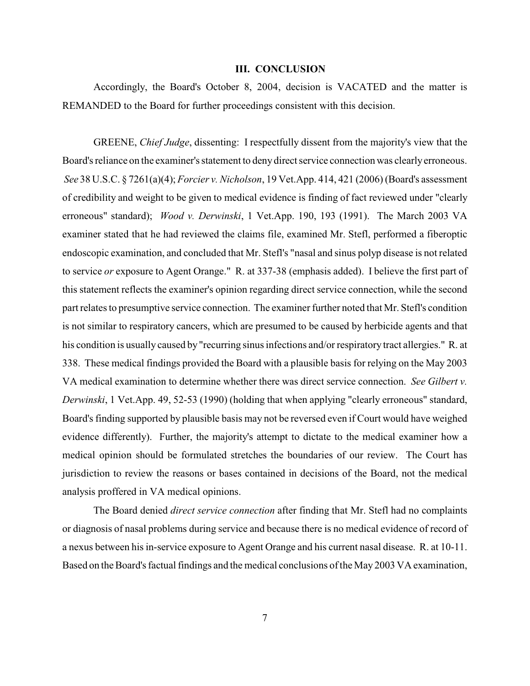## **III. CONCLUSION**

Accordingly, the Board's October 8, 2004, decision is VACATED and the matter is REMANDED to the Board for further proceedings consistent with this decision.

GREENE, *Chief Judge*, dissenting: I respectfully dissent from the majority's view that the Board's reliance on the examiner's statement to deny direct service connection was clearly erroneous.  *See* 38 U.S.C. § 7261(a)(4); *Forcier v. Nicholson*, 19 Vet.App. 414, 421 (2006) (Board's assessment of credibility and weight to be given to medical evidence is finding of fact reviewed under "clearly erroneous" standard); *Wood v. Derwinski*, 1 Vet.App. 190, 193 (1991). The March 2003 VA examiner stated that he had reviewed the claims file, examined Mr. Stefl, performed a fiberoptic endoscopic examination, and concluded that Mr. Stefl's "nasal and sinus polyp disease is not related to service *or* exposure to Agent Orange." R. at 337-38 (emphasis added). I believe the first part of this statement reflects the examiner's opinion regarding direct service connection, while the second part relates to presumptive service connection. The examiner further noted that Mr. Stefl's condition is not similar to respiratory cancers, which are presumed to be caused by herbicide agents and that his condition is usually caused by "recurring sinus infections and/or respiratory tract allergies." R. at 338. These medical findings provided the Board with a plausible basis for relying on the May 2003 VA medical examination to determine whether there was direct service connection. *See Gilbert v. Derwinski*, 1 Vet.App. 49, 52-53 (1990) (holding that when applying "clearly erroneous" standard, Board's finding supported by plausible basis may not be reversed even if Court would have weighed evidence differently). Further, the majority's attempt to dictate to the medical examiner how a medical opinion should be formulated stretches the boundaries of our review. The Court has jurisdiction to review the reasons or bases contained in decisions of the Board, not the medical analysis proffered in VA medical opinions.

The Board denied *direct service connection* after finding that Mr. Stefl had no complaints or diagnosis of nasal problems during service and because there is no medical evidence of record of a nexus between his in-service exposure to Agent Orange and his current nasal disease. R. at 10-11. Based on the Board's factual findings and the medical conclusions of the May 2003 VA examination,